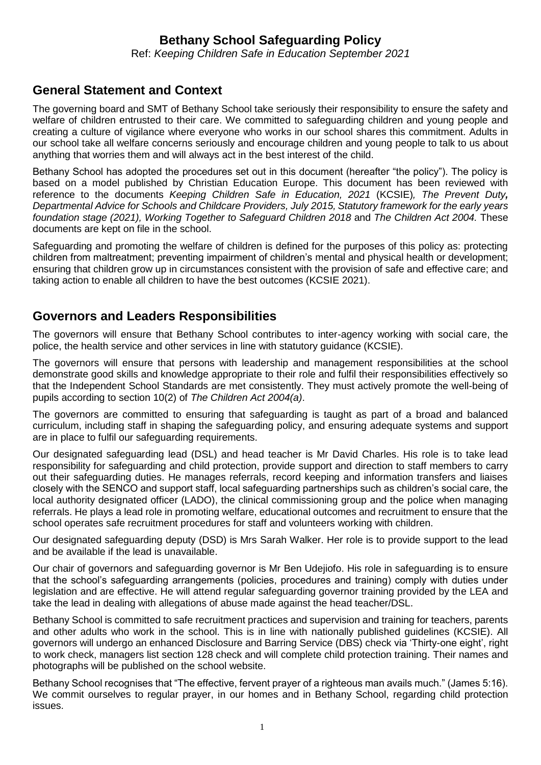# **Bethany School Safeguarding Policy**

Ref: *Keeping Children Safe in Education September 2021*

# **General Statement and Context**

The governing board and SMT of Bethany School take seriously their responsibility to ensure the safety and welfare of children entrusted to their care. We committed to safeguarding children and young people and creating a culture of vigilance where everyone who works in our school shares this commitment. Adults in our school take all welfare concerns seriously and encourage children and young people to talk to us about anything that worries them and will always act in the best interest of the child.

Bethany School has adopted the procedures set out in this document (hereafter "the policy"). The policy is based on a model published by Christian Education Europe. This document has been reviewed with reference to the documents *Keeping Children Safe in Education, 2021* (KCSIE)*, The Prevent Duty, Departmental Advice for Schools and Childcare Providers, July 2015, Statutory framework for the early years foundation stage (2021), Working Together to Safeguard Children 2018* and *The Children Act 2004.* These documents are kept on file in the school.

Safeguarding and promoting the welfare of children is defined for the purposes of this policy as: protecting children from maltreatment; preventing impairment of children's mental and physical health or development; ensuring that children grow up in circumstances consistent with the provision of safe and effective care; and taking action to enable all children to have the best outcomes (KCSIE 2021).

# **Governors and Leaders Responsibilities**

The governors will ensure that Bethany School contributes to inter-agency working with social care, the police, the health service and other services in line with statutory guidance (KCSIE).

The governors will ensure that persons with leadership and management responsibilities at the school demonstrate good skills and knowledge appropriate to their role and fulfil their responsibilities effectively so that the Independent School Standards are met consistently. They must actively promote the well-being of pupils according to section 10(2) of *The Children Act 2004(a)*.

The governors are committed to ensuring that safeguarding is taught as part of a broad and balanced curriculum, including staff in shaping the safeguarding policy, and ensuring adequate systems and support are in place to fulfil our safeguarding requirements.

Our designated safeguarding lead (DSL) and head teacher is Mr David Charles. His role is to take lead responsibility for safeguarding and child protection, provide support and direction to staff members to carry out their safeguarding duties. He manages referrals, record keeping and information transfers and liaises closely with the SENCO and support staff, local safeguarding partnerships such as children's social care, the local authority designated officer (LADO), the clinical commissioning group and the police when managing referrals. He plays a lead role in promoting welfare, educational outcomes and recruitment to ensure that the school operates safe recruitment procedures for staff and volunteers working with children.

Our designated safeguarding deputy (DSD) is Mrs Sarah Walker. Her role is to provide support to the lead and be available if the lead is unavailable.

Our chair of governors and safeguarding governor is Mr Ben Udejiofo. His role in safeguarding is to ensure that the school's safeguarding arrangements (policies, procedures and training) comply with duties under legislation and are effective. He will attend regular safeguarding governor training provided by the LEA and take the lead in dealing with allegations of abuse made against the head teacher/DSL.

Bethany School is committed to safe recruitment practices and supervision and training for teachers, parents and other adults who work in the school. This is in line with nationally published guidelines (KCSIE). All governors will undergo an enhanced Disclosure and Barring Service (DBS) check via 'Thirty-one eight', right to work check, managers list section 128 check and will complete child protection training. Their names and photographs will be published on the school website.

Bethany School recognises that "The effective, fervent prayer of a righteous man avails much." (James 5:16). We commit ourselves to regular prayer, in our homes and in Bethany School, regarding child protection issues.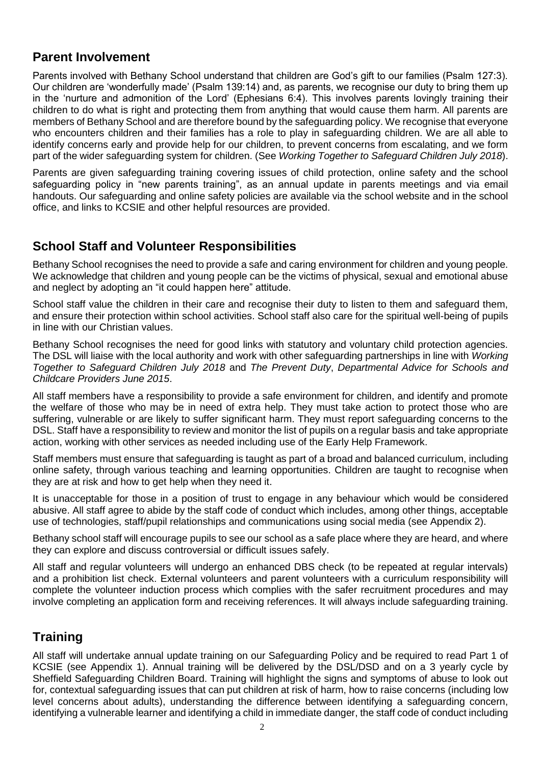# **Parent Involvement**

Parents involved with Bethany School understand that children are God's gift to our families (Psalm 127:3). Our children are 'wonderfully made' (Psalm 139:14) and, as parents, we recognise our duty to bring them up in the 'nurture and admonition of the Lord' (Ephesians 6:4). This involves parents lovingly training their children to do what is right and protecting them from anything that would cause them harm. All parents are members of Bethany School and are therefore bound by the safeguarding policy. We recognise that everyone who encounters children and their families has a role to play in safeguarding children. We are all able to identify concerns early and provide help for our children, to prevent concerns from escalating, and we form part of the wider safeguarding system for children. (See *Working Together to Safeguard Children July 2018*).

Parents are given safeguarding training covering issues of child protection, online safety and the school safeguarding policy in "new parents training", as an annual update in parents meetings and via email handouts. Our safeguarding and online safety policies are available via the school website and in the school office, and links to KCSIE and other helpful resources are provided.

# **School Staff and Volunteer Responsibilities**

Bethany School recognises the need to provide a safe and caring environment for children and young people. We acknowledge that children and young people can be the victims of physical, sexual and emotional abuse and neglect by adopting an "it could happen here" attitude.

School staff value the children in their care and recognise their duty to listen to them and safeguard them, and ensure their protection within school activities. School staff also care for the spiritual well-being of pupils in line with our Christian values.

Bethany School recognises the need for good links with statutory and voluntary child protection agencies. The DSL will liaise with the local authority and work with other safeguarding partnerships in line with *Working Together to Safeguard Children July 2018* and *The Prevent Duty*, *Departmental Advice for Schools and Childcare Providers June 2015*.

All staff members have a responsibility to provide a safe environment for children, and identify and promote the welfare of those who may be in need of extra help. They must take action to protect those who are suffering, vulnerable or are likely to suffer significant harm. They must report safeguarding concerns to the DSL. Staff have a responsibility to review and monitor the list of pupils on a regular basis and take appropriate action, working with other services as needed including use of the Early Help Framework.

Staff members must ensure that safeguarding is taught as part of a broad and balanced curriculum, including online safety, through various teaching and learning opportunities. Children are taught to recognise when they are at risk and how to get help when they need it.

It is unacceptable for those in a position of trust to engage in any behaviour which would be considered abusive. All staff agree to abide by the staff code of conduct which includes, among other things, acceptable use of technologies, staff/pupil relationships and communications using social media (see Appendix 2).

Bethany school staff will encourage pupils to see our school as a safe place where they are heard, and where they can explore and discuss controversial or difficult issues safely.

All staff and regular volunteers will undergo an enhanced DBS check (to be repeated at regular intervals) and a prohibition list check. External volunteers and parent volunteers with a curriculum responsibility will complete the volunteer induction process which complies with the safer recruitment procedures and may involve completing an application form and receiving references. It will always include safeguarding training.

# **Training**

All staff will undertake annual update training on our Safeguarding Policy and be required to read Part 1 of KCSIE (see Appendix 1). Annual training will be delivered by the DSL/DSD and on a 3 yearly cycle by Sheffield Safeguarding Children Board. Training will highlight the signs and symptoms of abuse to look out for, contextual safeguarding issues that can put children at risk of harm, how to raise concerns (including low level concerns about adults), understanding the difference between identifying a safeguarding concern, identifying a vulnerable learner and identifying a child in immediate danger, the staff code of conduct including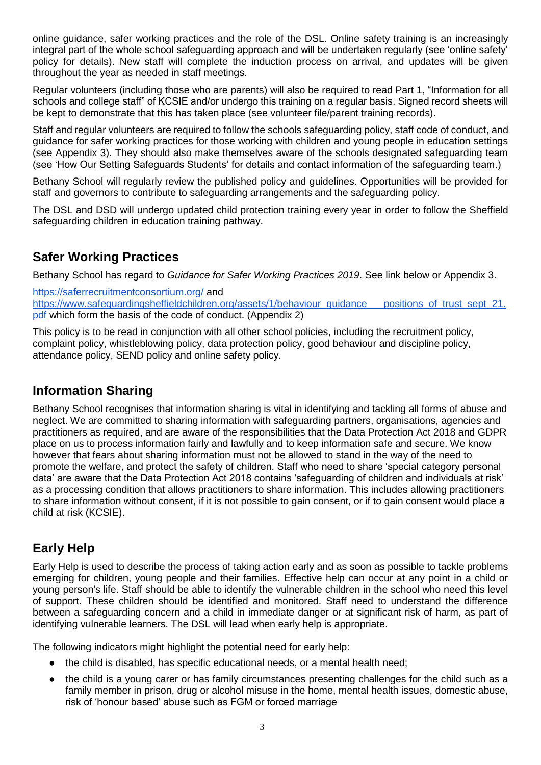online guidance, safer working practices and the role of the DSL. Online safety training is an increasingly integral part of the whole school safeguarding approach and will be undertaken regularly (see 'online safety' policy for details). New staff will complete the induction process on arrival, and updates will be given throughout the year as needed in staff meetings.

Regular volunteers (including those who are parents) will also be required to read Part 1, "Information for all schools and college staff" of KCSIE and/or undergo this training on a regular basis. Signed record sheets will be kept to demonstrate that this has taken place (see volunteer file/parent training records).

Staff and regular volunteers are required to follow the schools safeguarding policy, staff code of conduct, and guidance for safer working practices for those working with children and young people in education settings (see Appendix 3). They should also make themselves aware of the schools designated safeguarding team (see 'How Our Setting Safeguards Students' for details and contact information of the safeguarding team.)

Bethany School will regularly review the published policy and guidelines. Opportunities will be provided for staff and governors to contribute to safeguarding arrangements and the safeguarding policy.

The DSL and DSD will undergo updated child protection training every year in order to follow the Sheffield safeguarding children in education training pathway.

# **Safer Working Practices**

Bethany School has regard to *Guidance for Safer Working Practices 2019*. See link below or Appendix 3.

<https://saferrecruitmentconsortium.org/> and [https://www.safeguardingsheffieldchildren.org/assets/1/behaviour\\_guidance\\_\\_\\_positions\\_of\\_trust\\_sept\\_21.](https://www.safeguardingsheffieldchildren.org/assets/1/behaviour_guidance___positions_of_trust_sept_21.pdf) [pdf](https://www.safeguardingsheffieldchildren.org/assets/1/behaviour_guidance___positions_of_trust_sept_21.pdf) which form the basis of the code of conduct. (Appendix 2)

This policy is to be read in conjunction with all other school policies, including the recruitment policy, complaint policy, whistleblowing policy, data protection policy, good behaviour and discipline policy, attendance policy, SEND policy and online safety policy.

# **Information Sharing**

Bethany School recognises that information sharing is vital in identifying and tackling all forms of abuse and neglect. We are committed to sharing information with safeguarding partners, organisations, agencies and practitioners as required, and are aware of the responsibilities that the Data Protection Act 2018 and GDPR place on us to process information fairly and lawfully and to keep information safe and secure. We know however that fears about sharing information must not be allowed to stand in the way of the need to promote the welfare, and protect the safety of children. Staff who need to share 'special category personal data' are aware that the Data Protection Act 2018 contains 'safeguarding of children and individuals at risk' as a processing condition that allows practitioners to share information. This includes allowing practitioners to share information without consent, if it is not possible to gain consent, or if to gain consent would place a child at risk (KCSIE).

# **Early Help**

Early Help is used to describe the process of taking action early and as soon as possible to tackle problems emerging for children, young people and their families. Effective help can occur at any point in a child or young person's life. Staff should be able to identify the vulnerable children in the school who need this level of support. These children should be identified and monitored. Staff need to understand the difference between a safeguarding concern and a child in immediate danger or at significant risk of harm, as part of identifying vulnerable learners. The DSL will lead when early help is appropriate.

The following indicators might highlight the potential need for early help:

- the child is disabled, has specific educational needs, or a mental health need:
- the child is a young carer or has family circumstances presenting challenges for the child such as a family member in prison, drug or alcohol misuse in the home, mental health issues, domestic abuse, risk of 'honour based' abuse such as FGM or forced marriage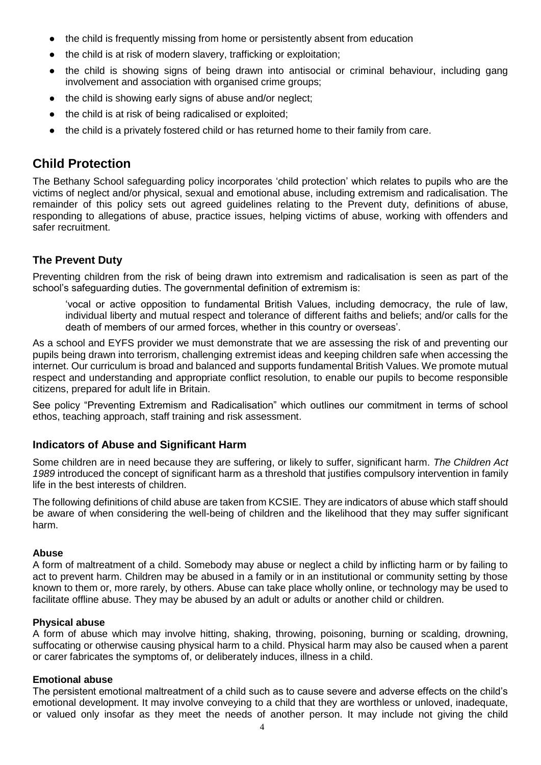- the child is frequently missing from home or persistently absent from education
- the child is at risk of modern slavery, trafficking or exploitation;
- the child is showing signs of being drawn into antisocial or criminal behaviour, including gang involvement and association with organised crime groups;
- the child is showing early signs of abuse and/or neglect;
- the child is at risk of being radicalised or exploited;
- the child is a privately fostered child or has returned home to their family from care.

# **Child Protection**

The Bethany School safeguarding policy incorporates 'child protection' which relates to pupils who are the victims of neglect and/or physical, sexual and emotional abuse, including extremism and radicalisation. The remainder of this policy sets out agreed guidelines relating to the Prevent duty, definitions of abuse, responding to allegations of abuse, practice issues, helping victims of abuse, working with offenders and safer recruitment.

# **The Prevent Duty**

Preventing children from the risk of being drawn into extremism and radicalisation is seen as part of the school's safeguarding duties. The governmental definition of extremism is:

'vocal or active opposition to fundamental British Values, including democracy, the rule of law, individual liberty and mutual respect and tolerance of different faiths and beliefs; and/or calls for the death of members of our armed forces, whether in this country or overseas'.

As a school and EYFS provider we must demonstrate that we are assessing the risk of and preventing our pupils being drawn into terrorism, challenging extremist ideas and keeping children safe when accessing the internet. Our curriculum is broad and balanced and supports fundamental British Values. We promote mutual respect and understanding and appropriate conflict resolution, to enable our pupils to become responsible citizens, prepared for adult life in Britain.

See policy "Preventing Extremism and Radicalisation" which outlines our commitment in terms of school ethos, teaching approach, staff training and risk assessment.

# **Indicators of Abuse and Significant Harm**

Some children are in need because they are suffering, or likely to suffer, significant harm. *The Children Act 1989* introduced the concept of significant harm as a threshold that justifies compulsory intervention in family life in the best interests of children.

The following definitions of child abuse are taken from KCSIE. They are indicators of abuse which staff should be aware of when considering the well-being of children and the likelihood that they may suffer significant harm.

### **Abuse**

A form of maltreatment of a child. Somebody may abuse or neglect a child by inflicting harm or by failing to act to prevent harm. Children may be abused in a family or in an institutional or community setting by those known to them or, more rarely, by others. Abuse can take place wholly online, or technology may be used to facilitate offline abuse. They may be abused by an adult or adults or another child or children.

### **Physical abuse**

A form of abuse which may involve hitting, shaking, throwing, poisoning, burning or scalding, drowning, suffocating or otherwise causing physical harm to a child. Physical harm may also be caused when a parent or carer fabricates the symptoms of, or deliberately induces, illness in a child.

### **Emotional abuse**

The persistent emotional maltreatment of a child such as to cause severe and adverse effects on the child's emotional development. It may involve conveying to a child that they are worthless or unloved, inadequate, or valued only insofar as they meet the needs of another person. It may include not giving the child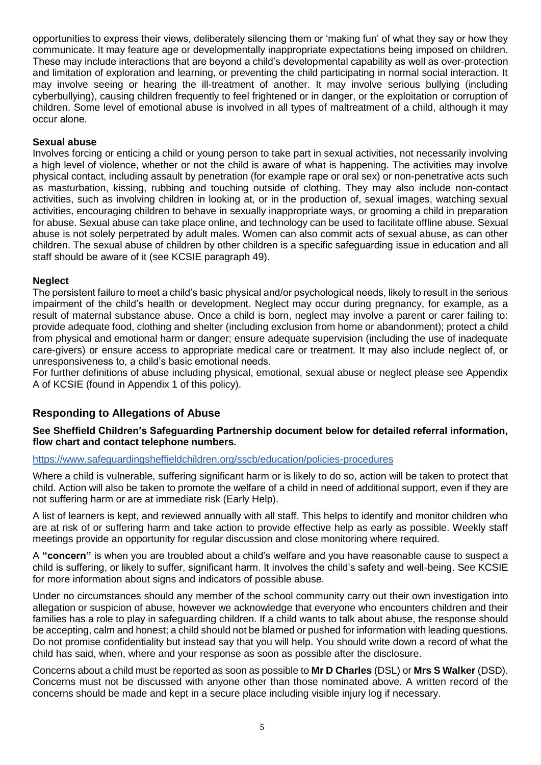opportunities to express their views, deliberately silencing them or 'making fun' of what they say or how they communicate. It may feature age or developmentally inappropriate expectations being imposed on children. These may include interactions that are beyond a child's developmental capability as well as over-protection and limitation of exploration and learning, or preventing the child participating in normal social interaction. It may involve seeing or hearing the ill-treatment of another. It may involve serious bullying (including cyberbullying), causing children frequently to feel frightened or in danger, or the exploitation or corruption of children. Some level of emotional abuse is involved in all types of maltreatment of a child, although it may occur alone.

## **Sexual abuse**

Involves forcing or enticing a child or young person to take part in sexual activities, not necessarily involving a high level of violence, whether or not the child is aware of what is happening. The activities may involve physical contact, including assault by penetration (for example rape or oral sex) or non-penetrative acts such as masturbation, kissing, rubbing and touching outside of clothing. They may also include non-contact activities, such as involving children in looking at, or in the production of, sexual images, watching sexual activities, encouraging children to behave in sexually inappropriate ways, or grooming a child in preparation for abuse. Sexual abuse can take place online, and technology can be used to facilitate offline abuse. Sexual abuse is not solely perpetrated by adult males. Women can also commit acts of sexual abuse, as can other children. The sexual abuse of children by other children is a specific safeguarding issue in education and all staff should be aware of it (see KCSIE paragraph 49).

### **Neglect**

The persistent failure to meet a child's basic physical and/or psychological needs, likely to result in the serious impairment of the child's health or development. Neglect may occur during pregnancy, for example, as a result of maternal substance abuse. Once a child is born, neglect may involve a parent or carer failing to: provide adequate food, clothing and shelter (including exclusion from home or abandonment); protect a child from physical and emotional harm or danger; ensure adequate supervision (including the use of inadequate care-givers) or ensure access to appropriate medical care or treatment. It may also include neglect of, or unresponsiveness to, a child's basic emotional needs.

For further definitions of abuse including physical, emotional, sexual abuse or neglect please see Appendix A of KCSIE (found in Appendix 1 of this policy).

# **Responding to Allegations of Abuse**

### **See Sheffield Children's Safeguarding Partnership document below for detailed referral information, flow chart and contact telephone numbers.**

## <https://www.safeguardingsheffieldchildren.org/sscb/education/policies-procedures>

Where a child is vulnerable, suffering significant harm or is likely to do so, action will be taken to protect that child. Action will also be taken to promote the welfare of a child in need of additional support, even if they are not suffering harm or are at immediate risk (Early Help).

A list of learners is kept, and reviewed annually with all staff. This helps to identify and monitor children who are at risk of or suffering harm and take action to provide effective help as early as possible. Weekly staff meetings provide an opportunity for regular discussion and close monitoring where required.

A **"concern"** is when you are troubled about a child's welfare and you have reasonable cause to suspect a child is suffering, or likely to suffer, significant harm. It involves the child's safety and well-being. See KCSIE for more information about signs and indicators of possible abuse.

Under no circumstances should any member of the school community carry out their own investigation into allegation or suspicion of abuse, however we acknowledge that everyone who encounters children and their families has a role to play in safeguarding children. If a child wants to talk about abuse, the response should be accepting, calm and honest; a child should not be blamed or pushed for information with leading questions. Do not promise confidentiality but instead say that you will help. You should write down a record of what the child has said, when, where and your response as soon as possible after the disclosure.

Concerns about a child must be reported as soon as possible to **Mr D Charles** (DSL) or **Mrs S Walker** (DSD). Concerns must not be discussed with anyone other than those nominated above. A written record of the concerns should be made and kept in a secure place including visible injury log if necessary.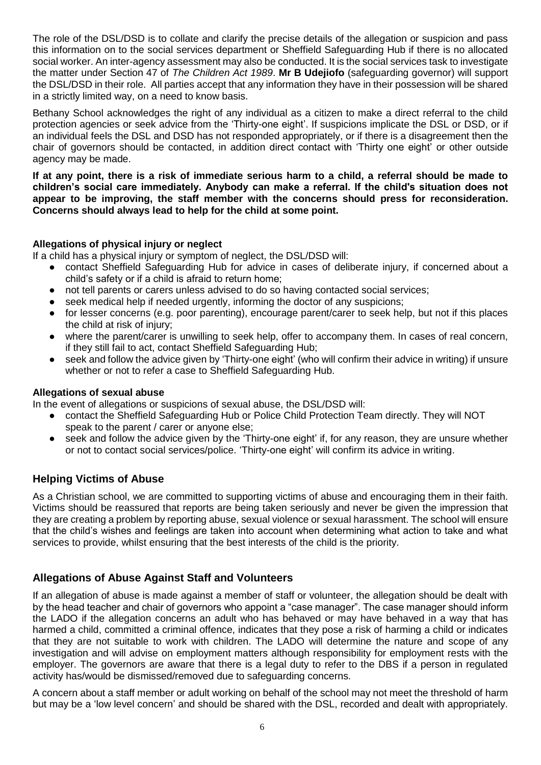The role of the DSL/DSD is to collate and clarify the precise details of the allegation or suspicion and pass this information on to the social services department or Sheffield Safeguarding Hub if there is no allocated social worker. An inter-agency assessment may also be conducted. It is the social services task to investigate the matter under Section 47 of *The Children Act 1989*. **Mr B Udejiofo** (safeguarding governor) will support the DSL/DSD in their role. All parties accept that any information they have in their possession will be shared in a strictly limited way, on a need to know basis.

Bethany School acknowledges the right of any individual as a citizen to make a direct referral to the child protection agencies or seek advice from the 'Thirty-one eight'. If suspicions implicate the DSL or DSD, or if an individual feels the DSL and DSD has not responded appropriately, or if there is a disagreement then the chair of governors should be contacted, in addition direct contact with 'Thirty one eight' or other outside agency may be made.

**If at any point, there is a risk of immediate serious harm to a child, a referral should be made to children's social care immediately. Anybody can make a referral. If the child's situation does not appear to be improving, the staff member with the concerns should press for reconsideration. Concerns should always lead to help for the child at some point.**

## **Allegations of physical injury or neglect**

If a child has a physical injury or symptom of neglect, the DSL/DSD will:

- contact Sheffield Safeguarding Hub for advice in cases of deliberate injury, if concerned about a child's safety or if a child is afraid to return home;
- not tell parents or carers unless advised to do so having contacted social services;
- seek medical help if needed urgently, informing the doctor of any suspicions;
- for lesser concerns (e.g. poor parenting), encourage parent/carer to seek help, but not if this places the child at risk of injury;
- where the parent/carer is unwilling to seek help, offer to accompany them. In cases of real concern, if they still fail to act, contact Sheffield Safeguarding Hub;
- seek and follow the advice given by 'Thirty-one eight' (who will confirm their advice in writing) if unsure whether or not to refer a case to Sheffield Safeguarding Hub.

### **Allegations of sexual abuse**

In the event of allegations or suspicions of sexual abuse, the DSL/DSD will:

- contact the Sheffield Safeguarding Hub or Police Child Protection Team directly. They will NOT speak to the parent / carer or anyone else;
- seek and follow the advice given by the 'Thirty-one eight' if, for any reason, they are unsure whether or not to contact social services/police. 'Thirty-one eight' will confirm its advice in writing.

# **Helping Victims of Abuse**

As a Christian school, we are committed to supporting victims of abuse and encouraging them in their faith. Victims should be reassured that reports are being taken seriously and never be given the impression that they are creating a problem by reporting abuse, sexual violence or sexual harassment. The school will ensure that the child's wishes and feelings are taken into account when determining what action to take and what services to provide, whilst ensuring that the best interests of the child is the priority.

# **Allegations of Abuse Against Staff and Volunteers**

If an allegation of abuse is made against a member of staff or volunteer, the allegation should be dealt with by the head teacher and chair of governors who appoint a "case manager". The case manager should inform the LADO if the allegation concerns an adult who has behaved or may have behaved in a way that has harmed a child, committed a criminal offence, indicates that they pose a risk of harming a child or indicates that they are not suitable to work with children. The LADO will determine the nature and scope of any investigation and will advise on employment matters although responsibility for employment rests with the employer. The governors are aware that there is a legal duty to refer to the DBS if a person in regulated activity has/would be dismissed/removed due to safeguarding concerns.

A concern about a staff member or adult working on behalf of the school may not meet the threshold of harm but may be a 'low level concern' and should be shared with the DSL, recorded and dealt with appropriately.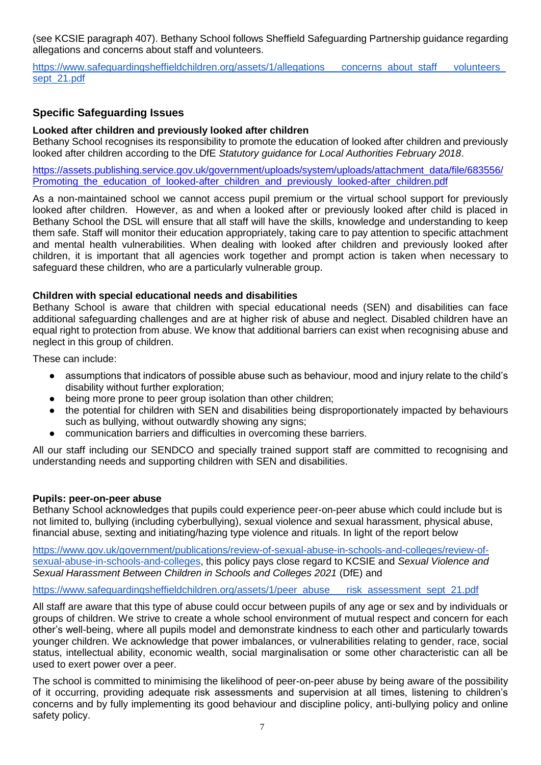(see KCSIE paragraph 407). Bethany School follows Sheffield Safeguarding Partnership guidance regarding allegations and concerns about staff and volunteers.

https://www.safeguardingsheffieldchildren.org/assets/1/allegations\_\_\_concerns\_about\_staff\_\_\_volunteers [sept\\_21.pdf](https://www.safeguardingsheffieldchildren.org/assets/1/allegations___concerns_about_staff___volunteers_sept_21.pdf)

# **Specific Safeguarding Issues**

## **Looked after children and previously looked after children**

Bethany School recognises its responsibility to promote the education of looked after children and previously looked after children according to the DfE *Statutory guidance for Local Authorities February 2018*.

[https://assets.publishing.service.gov.uk/government/uploads/system/uploads/attachment\\_data/file/683556/](https://assets.publishing.service.gov.uk/government/uploads/system/uploads/attachment_data/file/683556/Promoting_the_education_of_looked-after_children_and_previously_looked-after_children.pdf) Promoting the education of looked-after children and previously looked-after children.pdf

As a non-maintained school we cannot access pupil premium or the virtual school support for previously looked after children. However, as and when a looked after or previously looked after child is placed in Bethany School the DSL will ensure that all staff will have the skills, knowledge and understanding to keep them safe. Staff will monitor their education appropriately, taking care to pay attention to specific attachment and mental health vulnerabilities. When dealing with looked after children and previously looked after children, it is important that all agencies work together and prompt action is taken when necessary to safeguard these children, who are a particularly vulnerable group.

### **Children with special educational needs and disabilities**

Bethany School is aware that children with special educational needs (SEN) and disabilities can face additional safeguarding challenges and are at higher risk of abuse and neglect. Disabled children have an equal right to protection from abuse. We know that additional barriers can exist when recognising abuse and neglect in this group of children.

These can include:

- assumptions that indicators of possible abuse such as behaviour, mood and injury relate to the child's disability without further exploration;
- being more prone to peer group isolation than other children;
- the potential for children with SEN and disabilities being disproportionately impacted by behaviours such as bullying, without outwardly showing any signs;
- communication barriers and difficulties in overcoming these barriers.

All our staff including our SENDCO and specially trained support staff are committed to recognising and understanding needs and supporting children with SEN and disabilities.

### **Pupils: peer-on-peer abuse**

Bethany School acknowledges that pupils could experience peer-on-peer abuse which could include but is not limited to, bullying (including cyberbullying), sexual violence and sexual harassment, physical abuse, financial abuse, sexting and initiating/hazing type violence and rituals. In light of the report below

[https://www.gov.uk/government/publications/review-of-sexual-abuse-in-schools-and-colleges/review-of](https://www.gov.uk/government/publications/review-of-sexual-abuse-in-schools-and-colleges/review-of-sexual-abuse-in-schools-and-colleges)[sexual-abuse-in-schools-and-colleges,](https://www.gov.uk/government/publications/review-of-sexual-abuse-in-schools-and-colleges/review-of-sexual-abuse-in-schools-and-colleges) this policy pays close regard to KCSIE and *Sexual Violence and Sexual Harassment Between Children in Schools and Colleges 2021* (DfE) and

[https://www.safeguardingsheffieldchildren.org/assets/1/peer\\_abuse\\_\\_\\_risk\\_assessment\\_sept\\_21.pdf](https://www.safeguardingsheffieldchildren.org/assets/1/peer_abuse___risk_assessment_sept_21.pdf)

All staff are aware that this type of abuse could occur between pupils of any age or sex and by individuals or groups of children. We strive to create a whole school environment of mutual respect and concern for each other's well-being, where all pupils model and demonstrate kindness to each other and particularly towards younger children. We acknowledge that power imbalances, or vulnerabilities relating to gender, race, social status, intellectual ability, economic wealth, social marginalisation or some other characteristic can all be used to exert power over a peer.

The school is committed to minimising the likelihood of peer-on-peer abuse by being aware of the possibility of it occurring, providing adequate risk assessments and supervision at all times, listening to children's concerns and by fully implementing its good behaviour and discipline policy, anti-bullying policy and online safety policy.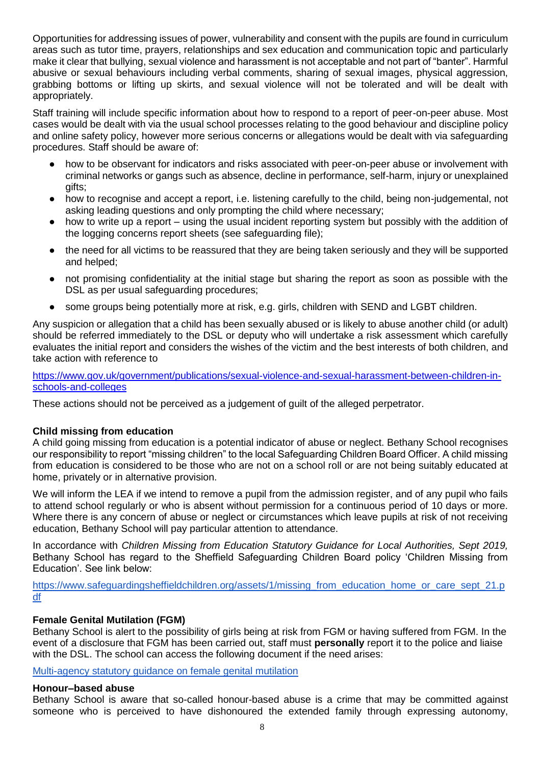Opportunities for addressing issues of power, vulnerability and consent with the pupils are found in curriculum areas such as tutor time, prayers, relationships and sex education and communication topic and particularly make it clear that bullying, sexual violence and harassment is not acceptable and not part of "banter". Harmful abusive or sexual behaviours including verbal comments, sharing of sexual images, physical aggression, grabbing bottoms or lifting up skirts, and sexual violence will not be tolerated and will be dealt with appropriately.

Staff training will include specific information about how to respond to a report of peer-on-peer abuse. Most cases would be dealt with via the usual school processes relating to the good behaviour and discipline policy and online safety policy, however more serious concerns or allegations would be dealt with via safeguarding procedures. Staff should be aware of:

- how to be observant for indicators and risks associated with peer-on-peer abuse or involvement with criminal networks or gangs such as absence, decline in performance, self-harm, injury or unexplained gifts;
- how to recognise and accept a report, i.e. listening carefully to the child, being non-judgemental, not asking leading questions and only prompting the child where necessary;
- how to write up a report using the usual incident reporting system but possibly with the addition of the logging concerns report sheets (see safeguarding file);
- the need for all victims to be reassured that they are being taken seriously and they will be supported and helped;
- not promising confidentiality at the initial stage but sharing the report as soon as possible with the DSL as per usual safeguarding procedures;
- some groups being potentially more at risk, e.g. girls, children with SEND and LGBT children.

Any suspicion or allegation that a child has been sexually abused or is likely to abuse another child (or adult) should be referred immediately to the DSL or deputy who will undertake a risk assessment which carefully evaluates the initial report and considers the wishes of the victim and the best interests of both children, and take action with reference to

[https://www.gov.uk/government/publications/sexual-violence-and-sexual-harassment-between-children-in](https://www.gov.uk/government/publications/sexual-violence-and-sexual-harassment-between-children-in-schools-and-colleges)[schools-and-colleges](https://www.gov.uk/government/publications/sexual-violence-and-sexual-harassment-between-children-in-schools-and-colleges)

These actions should not be perceived as a judgement of guilt of the alleged perpetrator.

### **Child missing from education**

A child going missing from education is a potential indicator of abuse or neglect. Bethany School recognises our responsibility to report "missing children" to the local Safeguarding Children Board Officer. A child missing from education is considered to be those who are not on a school roll or are not being suitably educated at home, privately or in alternative provision.

We will inform the LEA if we intend to remove a pupil from the admission register, and of any pupil who fails to attend school regularly or who is absent without permission for a continuous period of 10 days or more. Where there is any concern of abuse or neglect or circumstances which leave pupils at risk of not receiving education, Bethany School will pay particular attention to attendance.

In accordance with *Children Missing from Education Statutory Guidance for Local Authorities, Sept 2019,* Bethany School has regard to the Sheffield Safeguarding Children Board policy 'Children Missing from Education'. See link below:

[https://www.safeguardingsheffieldchildren.org/assets/1/missing\\_from\\_education\\_home\\_or\\_care\\_sept\\_21.p](https://www.safeguardingsheffieldchildren.org/assets/1/missing_from_education_home_or_care_sept_21.pdf) [df](https://www.safeguardingsheffieldchildren.org/assets/1/missing_from_education_home_or_care_sept_21.pdf)

### **Female Genital Mutilation (FGM)**

Bethany School is alert to the possibility of girls being at risk from FGM or having suffered from FGM. In the event of a disclosure that FGM has been carried out, staff must **personally** report it to the police and liaise with the DSL. The school can access the following document if the need arises:

[Multi-agency statutory guidance on female genital mutilation](https://www.gov.uk/government/publications/multi-agency-statutory-guidance-on-female-genital-mutilation)

### **Honour–based abuse**

Bethany School is aware that so-called honour-based abuse is a crime that may be committed against someone who is perceived to have dishonoured the extended family through expressing autonomy,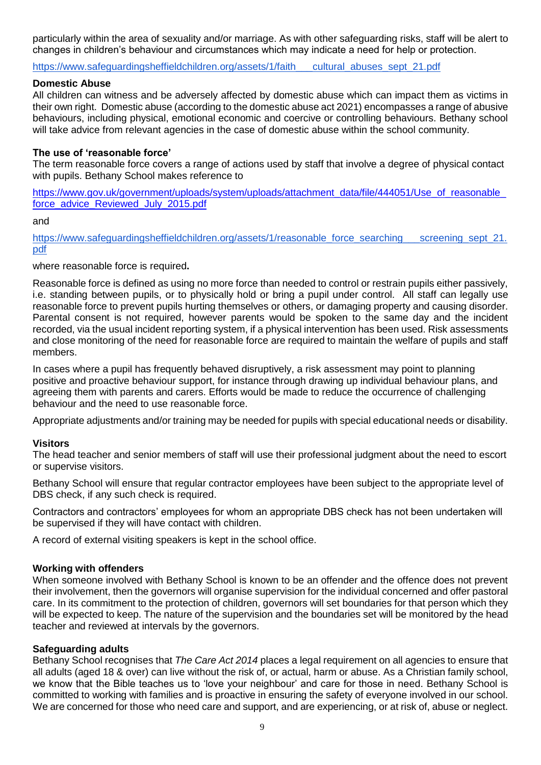particularly within the area of sexuality and/or marriage. As with other safeguarding risks, staff will be alert to changes in children's behaviour and circumstances which may indicate a need for help or protection.

https://www.safeguardingsheffieldchildren.org/assets/1/faith cultural abuses sept 21.pdf

### **Domestic Abuse**

All children can witness and be adversely affected by domestic abuse which can impact them as victims in their own right. Domestic abuse (according to the domestic abuse act 2021) encompasses a range of abusive behaviours, including physical, emotional economic and coercive or controlling behaviours. Bethany school will take advice from relevant agencies in the case of domestic abuse within the school community.

### **The use of 'reasonable force'**

The term reasonable force covers a range of actions used by staff that involve a degree of physical contact with pupils. Bethany School makes reference to

https://www.gov.uk/government/uploads/system/uploads/attachment\_data/file/444051/Use\_of\_reasonable [force\\_advice\\_Reviewed\\_July\\_2015.pdf](https://www.gov.uk/government/uploads/system/uploads/attachment_data/file/444051/Use_of_reasonable_force_advice_Reviewed_July_2015.pdf)

#### and

https://www.safeguardingsheffieldchildren.org/assets/1/reasonable\_force\_searching\_\_\_\_screening\_sept\_21. [pdf](https://www.safeguardingsheffieldchildren.org/assets/1/reasonable_force_searching___screening_sept_21.pdf)

where reasonable force is required**.** 

Reasonable force is defined as using no more force than needed to control or restrain pupils either passively, i.e. standing between pupils, or to physically hold or bring a pupil under control.All staff can legally use reasonable force to prevent pupils hurting themselves or others, or damaging property and causing disorder. Parental consent is not required, however parents would be spoken to the same day and the incident recorded, via the usual incident reporting system, if a physical intervention has been used. Risk assessments and close monitoring of the need for reasonable force are required to maintain the welfare of pupils and staff members.

In cases where a pupil has frequently behaved disruptively, a risk assessment may point to planning positive and proactive behaviour support, for instance through drawing up individual behaviour plans, and agreeing them with parents and carers. Efforts would be made to reduce the occurrence of challenging behaviour and the need to use reasonable force.

Appropriate adjustments and/or training may be needed for pupils with special educational needs or disability.

#### **Visitors**

The head teacher and senior members of staff will use their professional judgment about the need to escort or supervise visitors.

Bethany School will ensure that regular contractor employees have been subject to the appropriate level of DBS check, if any such check is required.

Contractors and contractors' employees for whom an appropriate DBS check has not been undertaken will be supervised if they will have contact with children.

A record of external visiting speakers is kept in the school office.

#### **Working with offenders**

When someone involved with Bethany School is known to be an offender and the offence does not prevent their involvement, then the governors will organise supervision for the individual concerned and offer pastoral care. In its commitment to the protection of children, governors will set boundaries for that person which they will be expected to keep. The nature of the supervision and the boundaries set will be monitored by the head teacher and reviewed at intervals by the governors.

#### **Safeguarding adults**

Bethany School recognises that *The Care Act 2014* places a legal requirement on all agencies to ensure that all adults (aged 18 & over) can live without the risk of, or actual, harm or abuse. As a Christian family school, we know that the Bible teaches us to 'love your neighbour' and care for those in need. Bethany School is committed to working with families and is proactive in ensuring the safety of everyone involved in our school. We are concerned for those who need care and support, and are experiencing, or at risk of, abuse or neglect.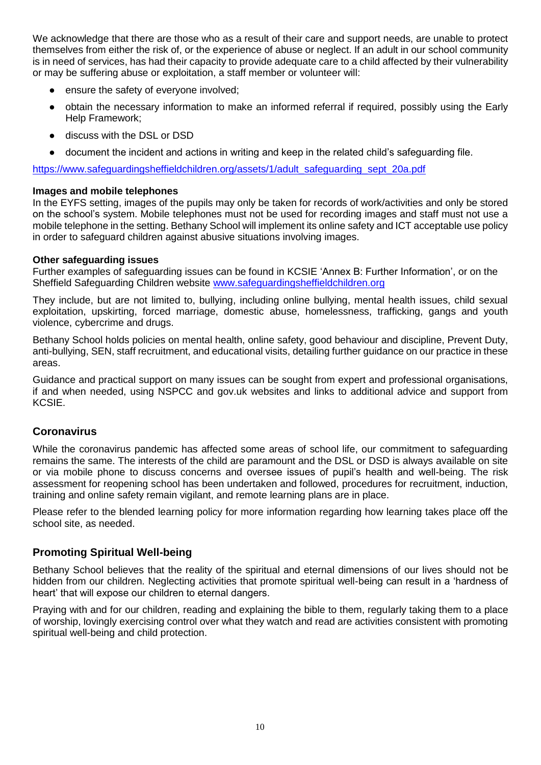We acknowledge that there are those who as a result of their care and support needs, are unable to protect themselves from either the risk of, or the experience of abuse or neglect. If an adult in our school community is in need of services, has had their capacity to provide adequate care to a child affected by their vulnerability or may be suffering abuse or exploitation, a staff member or volunteer will:

- ensure the safety of everyone involved;
- obtain the necessary information to make an informed referral if required, possibly using the Early Help Framework;
- discuss with the DSL or DSD
- document the incident and actions in writing and keep in the related child's safeguarding file.

[https://www.safeguardingsheffieldchildren.org/assets/1/adult\\_safeguarding\\_sept\\_20a.pdf](https://www.safeguardingsheffieldchildren.org/assets/1/adult_safeguarding_sept_20a.pdf)

### **Images and mobile telephones**

In the EYFS setting, images of the pupils may only be taken for records of work/activities and only be stored on the school's system. Mobile telephones must not be used for recording images and staff must not use a mobile telephone in the setting. Bethany School will implement its online safety and ICT acceptable use policy in order to safeguard children against abusive situations involving images.

## **Other safeguarding issues**

Further examples of safeguarding issues can be found in KCSIE 'Annex B: Further Information', or on the Sheffield Safeguarding Children website [www.safeguardingsheffieldchildren.org](http://www.safeguardingsheffieldchildren.org/)

They include, but are not limited to, bullying, including online bullying, mental health issues, child sexual exploitation, upskirting, forced marriage, domestic abuse, homelessness, trafficking, gangs and youth violence, cybercrime and drugs.

Bethany School holds policies on mental health, online safety, good behaviour and discipline, Prevent Duty, anti-bullying, SEN, staff recruitment, and educational visits, detailing further guidance on our practice in these areas.

Guidance and practical support on many issues can be sought from expert and professional organisations, if and when needed, using NSPCC and gov.uk websites and links to additional advice and support from KCSIE.

# **Coronavirus**

While the coronavirus pandemic has affected some areas of school life, our commitment to safeguarding remains the same. The interests of the child are paramount and the DSL or DSD is always available on site or via mobile phone to discuss concerns and oversee issues of pupil's health and well-being. The risk assessment for reopening school has been undertaken and followed, procedures for recruitment, induction, training and online safety remain vigilant, and remote learning plans are in place.

Please refer to the blended learning policy for more information regarding how learning takes place off the school site, as needed.

# **Promoting Spiritual Well-being**

Bethany School believes that the reality of the spiritual and eternal dimensions of our lives should not be hidden from our children. Neglecting activities that promote spiritual well-being can result in a 'hardness of heart' that will expose our children to eternal dangers.

Praying with and for our children, reading and explaining the bible to them, regularly taking them to a place of worship, lovingly exercising control over what they watch and read are activities consistent with promoting spiritual well-being and child protection.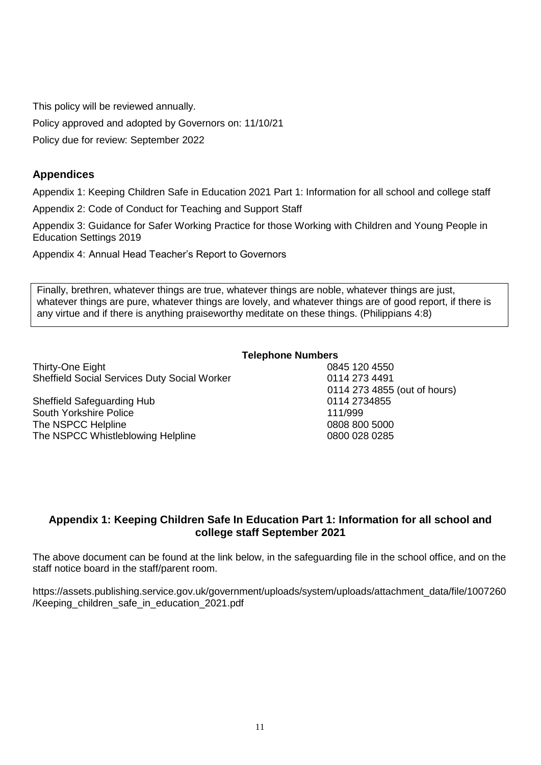This policy will be reviewed annually.

Policy approved and adopted by Governors on: 11/10/21

Policy due for review: September 2022

# **Appendices**

Appendix 1: Keeping Children Safe in Education 2021 Part 1: Information for all school and college staff

Appendix 2: Code of Conduct for Teaching and Support Staff

Appendix 3: Guidance for Safer Working Practice for those Working with Children and Young People in Education Settings 2019

Appendix 4: Annual Head Teacher's Report to Governors

Finally, brethren, whatever things are true, whatever things are noble, whatever things are just, whatever things are pure, whatever things are lovely, and whatever things are of good report, if there is any virtue and if there is anything praiseworthy meditate on these things. (Philippians 4:8)

## **Telephone Numbers**

Thirty-One Eight **120 4550** 120 4550 Sheffield Social Services Duty Social Worker 0114 273 4491

Sheffield Safeguarding Hub 0114 2734855 South Yorkshire Police 111/999 The NSPCC Helpline 2008 800 5000 0808 800 5000 The NSPCC Whistleblowing Helpline **Construction 1800 028 0285** 0800 028 0285

0114 273 4855 (out of hours)

# **Appendix 1: Keeping Children Safe In Education Part 1: Information for all school and college staff September 2021**

The above document can be found at the link below, in the safeguarding file in the school office, and on the staff notice board in the staff/parent room.

https://assets.publishing.service.gov.uk/government/uploads/system/uploads/attachment\_data/file/1007260 /Keeping\_children\_safe\_in\_education\_2021.pdf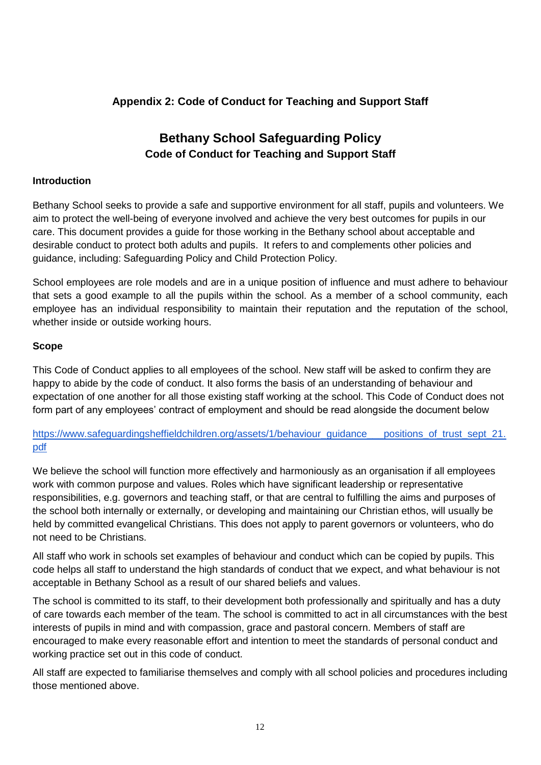# **Appendix 2: Code of Conduct for Teaching and Support Staff**

# **Bethany School Safeguarding Policy Code of Conduct for Teaching and Support Staff**

## **Introduction**

Bethany School seeks to provide a safe and supportive environment for all staff, pupils and volunteers. We aim to protect the well-being of everyone involved and achieve the very best outcomes for pupils in our care. This document provides a guide for those working in the Bethany school about acceptable and desirable conduct to protect both adults and pupils. It refers to and complements other policies and guidance, including: Safeguarding Policy and Child Protection Policy.

School employees are role models and are in a unique position of influence and must adhere to behaviour that sets a good example to all the pupils within the school. As a member of a school community, each employee has an individual responsibility to maintain their reputation and the reputation of the school, whether inside or outside working hours.

## **Scope**

This Code of Conduct applies to all employees of the school. New staff will be asked to confirm they are happy to abide by the code of conduct. It also forms the basis of an understanding of behaviour and expectation of one another for all those existing staff working at the school. This Code of Conduct does not form part of any employees' contract of employment and should be read alongside the document below

[https://www.safeguardingsheffieldchildren.org/assets/1/behaviour\\_guidance\\_\\_\\_positions\\_of\\_trust\\_sept\\_21.](https://www.safeguardingsheffieldchildren.org/assets/1/behaviour_guidance___positions_of_trust_sept_21.pdf) [pdf](https://www.safeguardingsheffieldchildren.org/assets/1/behaviour_guidance___positions_of_trust_sept_21.pdf)

We believe the school will function more effectively and harmoniously as an organisation if all employees work with common purpose and values. Roles which have significant leadership or representative responsibilities, e.g. governors and teaching staff, or that are central to fulfilling the aims and purposes of the school both internally or externally, or developing and maintaining our Christian ethos, will usually be held by committed evangelical Christians. This does not apply to parent governors or volunteers, who do not need to be Christians.

All staff who work in schools set examples of behaviour and conduct which can be copied by pupils. This code helps all staff to understand the high standards of conduct that we expect, and what behaviour is not acceptable in Bethany School as a result of our shared beliefs and values.

The school is committed to its staff, to their development both professionally and spiritually and has a duty of care towards each member of the team. The school is committed to act in all circumstances with the best interests of pupils in mind and with compassion, grace and pastoral concern. Members of staff are encouraged to make every reasonable effort and intention to meet the standards of personal conduct and working practice set out in this code of conduct.

All staff are expected to familiarise themselves and comply with all school policies and procedures including those mentioned above.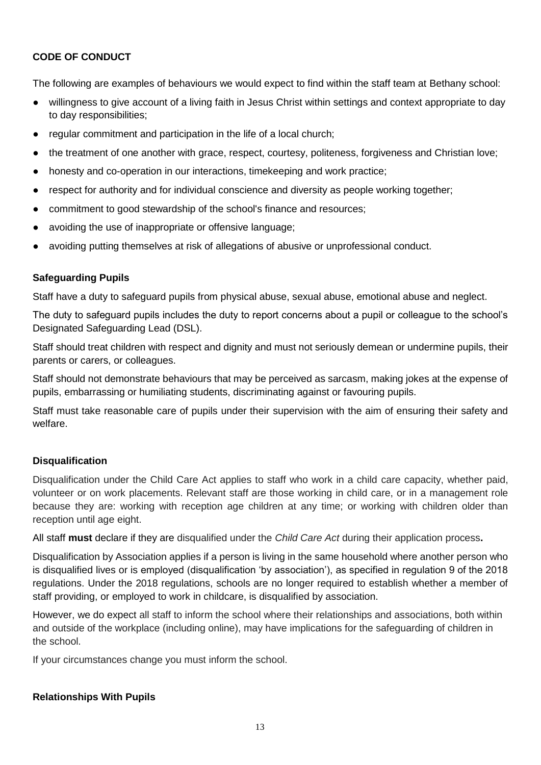# **CODE OF CONDUCT**

The following are examples of behaviours we would expect to find within the staff team at Bethany school:

- willingness to give account of a living faith in Jesus Christ within settings and context appropriate to day to day responsibilities;
- regular commitment and participation in the life of a local church;
- the treatment of one another with grace, respect, courtesy, politeness, forgiveness and Christian love;
- honesty and co-operation in our interactions, timekeeping and work practice;
- respect for authority and for individual conscience and diversity as people working together;
- commitment to good stewardship of the school's finance and resources;
- avoiding the use of inappropriate or offensive language;
- avoiding putting themselves at risk of allegations of abusive or unprofessional conduct.

## **Safeguarding Pupils**

Staff have a duty to safeguard pupils from physical abuse, sexual abuse, emotional abuse and neglect.

The duty to safeguard pupils includes the duty to report concerns about a pupil or colleague to the school's Designated Safeguarding Lead (DSL).

Staff should treat children with respect and dignity and must not seriously demean or undermine pupils, their parents or carers, or colleagues.

Staff should not demonstrate behaviours that may be perceived as sarcasm, making jokes at the expense of pupils, embarrassing or humiliating students, discriminating against or favouring pupils.

Staff must take reasonable care of pupils under their supervision with the aim of ensuring their safety and welfare.

# **Disqualification**

Disqualification under the Child Care Act applies to staff who work in a child care capacity, whether paid, volunteer or on work placements. Relevant staff are those working in child care, or in a management role because they are: working with reception age children at any time; or working with children older than reception until age eight.

All staff **must** declare if they are disqualified under the *Child Care Act* during their application process**.**

Disqualification by Association applies if a person is living in the same household where another person who is disqualified lives or is employed (disqualification 'by association'), as specified in regulation 9 of the 2018 regulations. Under the 2018 regulations, schools are no longer required to establish whether a member of staff providing, or employed to work in childcare, is disqualified by association.

However, we do expect all staff to inform the school where their relationships and associations, both within and outside of the workplace (including online), may have implications for the safeguarding of children in the school.

If your circumstances change you must inform the school.

# **Relationships With Pupils**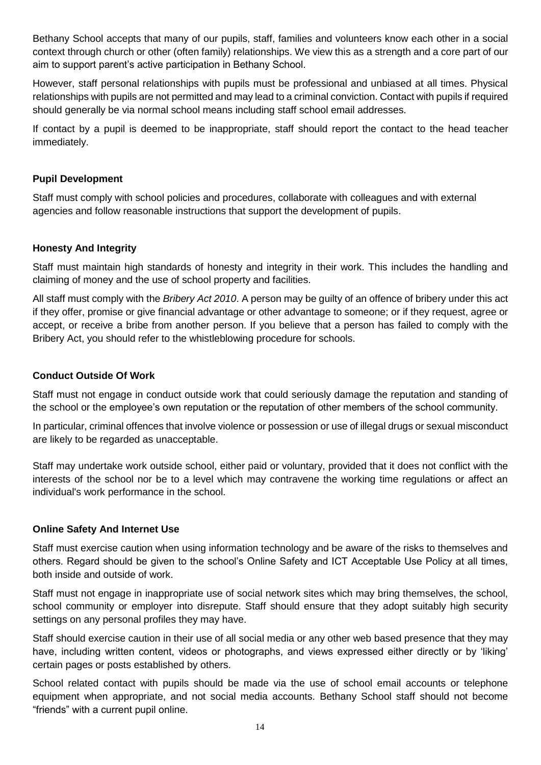Bethany School accepts that many of our pupils, staff, families and volunteers know each other in a social context through church or other (often family) relationships. We view this as a strength and a core part of our aim to support parent's active participation in Bethany School.

However, staff personal relationships with pupils must be professional and unbiased at all times. Physical relationships with pupils are not permitted and may lead to a criminal conviction. Contact with pupils if required should generally be via normal school means including staff school email addresses.

If contact by a pupil is deemed to be inappropriate, staff should report the contact to the head teacher immediately.

## **Pupil Development**

Staff must comply with school policies and procedures, collaborate with colleagues and with external agencies and follow reasonable instructions that support the development of pupils.

## **Honesty And Integrity**

Staff must maintain high standards of honesty and integrity in their work. This includes the handling and claiming of money and the use of school property and facilities.

All staff must comply with the *Bribery Act 2010*. A person may be guilty of an offence of bribery under this act if they offer, promise or give financial advantage or other advantage to someone; or if they request, agree or accept, or receive a bribe from another person. If you believe that a person has failed to comply with the Bribery Act, you should refer to the whistleblowing procedure for schools.

## **Conduct Outside Of Work**

Staff must not engage in conduct outside work that could seriously damage the reputation and standing of the school or the employee's own reputation or the reputation of other members of the school community.

In particular, criminal offences that involve violence or possession or use of illegal drugs or sexual misconduct are likely to be regarded as unacceptable.

Staff may undertake work outside school, either paid or voluntary, provided that it does not conflict with the interests of the school nor be to a level which may contravene the working time regulations or affect an individual's work performance in the school.

### **Online Safety And Internet Use**

Staff must exercise caution when using information technology and be aware of the risks to themselves and others. Regard should be given to the school's Online Safety and ICT Acceptable Use Policy at all times, both inside and outside of work.

Staff must not engage in inappropriate use of social network sites which may bring themselves, the school, school community or employer into disrepute. Staff should ensure that they adopt suitably high security settings on any personal profiles they may have.

Staff should exercise caution in their use of all social media or any other web based presence that they may have, including written content, videos or photographs, and views expressed either directly or by 'liking' certain pages or posts established by others.

School related contact with pupils should be made via the use of school email accounts or telephone equipment when appropriate, and not social media accounts. Bethany School staff should not become "friends" with a current pupil online.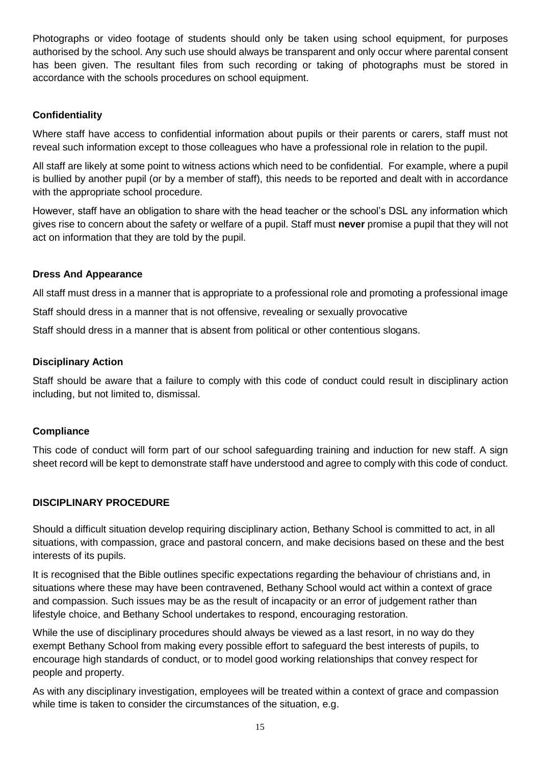Photographs or video footage of students should only be taken using school equipment, for purposes authorised by the school. Any such use should always be transparent and only occur where parental consent has been given. The resultant files from such recording or taking of photographs must be stored in accordance with the schools procedures on school equipment.

# **Confidentiality**

Where staff have access to confidential information about pupils or their parents or carers, staff must not reveal such information except to those colleagues who have a professional role in relation to the pupil.

All staff are likely at some point to witness actions which need to be confidential. For example, where a pupil is bullied by another pupil (or by a member of staff), this needs to be reported and dealt with in accordance with the appropriate school procedure.

However, staff have an obligation to share with the head teacher or the school's DSL any information which gives rise to concern about the safety or welfare of a pupil. Staff must **never** promise a pupil that they will not act on information that they are told by the pupil.

# **Dress And Appearance**

All staff must dress in a manner that is appropriate to a professional role and promoting a professional image

Staff should dress in a manner that is not offensive, revealing or sexually provocative

Staff should dress in a manner that is absent from political or other contentious slogans.

## **Disciplinary Action**

Staff should be aware that a failure to comply with this code of conduct could result in disciplinary action including, but not limited to, dismissal.

# **Compliance**

This code of conduct will form part of our school safeguarding training and induction for new staff. A sign sheet record will be kept to demonstrate staff have understood and agree to comply with this code of conduct.

### **DISCIPLINARY PROCEDURE**

Should a difficult situation develop requiring disciplinary action, Bethany School is committed to act, in all situations, with compassion, grace and pastoral concern, and make decisions based on these and the best interests of its pupils.

It is recognised that the Bible outlines specific expectations regarding the behaviour of christians and, in situations where these may have been contravened, Bethany School would act within a context of grace and compassion. Such issues may be as the result of incapacity or an error of judgement rather than lifestyle choice, and Bethany School undertakes to respond, encouraging restoration.

While the use of disciplinary procedures should always be viewed as a last resort, in no way do they exempt Bethany School from making every possible effort to safeguard the best interests of pupils, to encourage high standards of conduct, or to model good working relationships that convey respect for people and property.

As with any disciplinary investigation, employees will be treated within a context of grace and compassion while time is taken to consider the circumstances of the situation, e.g.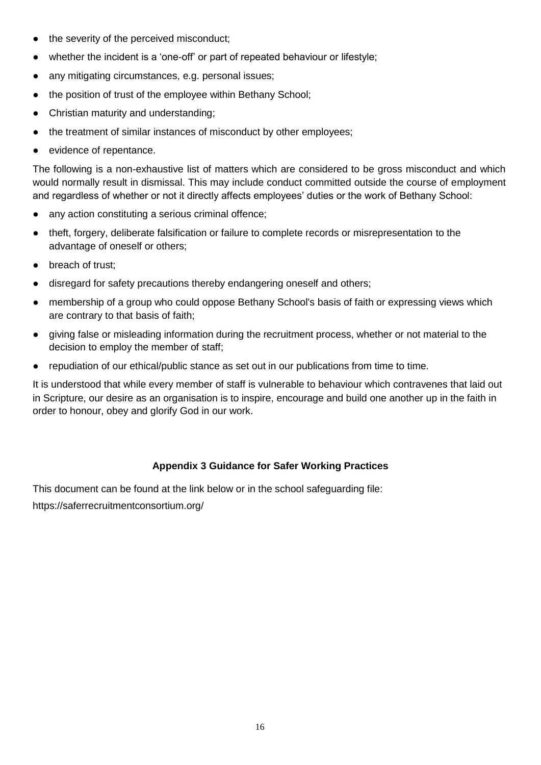- the severity of the perceived misconduct;
- whether the incident is a 'one-off' or part of repeated behaviour or lifestyle;
- any mitigating circumstances, e.g. personal issues;
- the position of trust of the employee within Bethany School;
- Christian maturity and understanding;
- the treatment of similar instances of misconduct by other employees;
- evidence of repentance.

The following is a non-exhaustive list of matters which are considered to be gross misconduct and which would normally result in dismissal. This may include conduct committed outside the course of employment and regardless of whether or not it directly affects employees' duties or the work of Bethany School:

- any action constituting a serious criminal offence;
- theft, forgery, deliberate falsification or failure to complete records or misrepresentation to the advantage of oneself or others;
- breach of trust:
- disregard for safety precautions thereby endangering oneself and others;
- membership of a group who could oppose Bethany School's basis of faith or expressing views which are contrary to that basis of faith;
- giving false or misleading information during the recruitment process, whether or not material to the decision to employ the member of staff;
- repudiation of our ethical/public stance as set out in our publications from time to time.

It is understood that while every member of staff is vulnerable to behaviour which contravenes that laid out in Scripture, our desire as an organisation is to inspire, encourage and build one another up in the faith in order to honour, obey and glorify God in our work.

# **Appendix 3 Guidance for Safer Working Practices**

This document can be found at the link below or in the school safeguarding file:

https://saferrecruitmentconsortium.org/